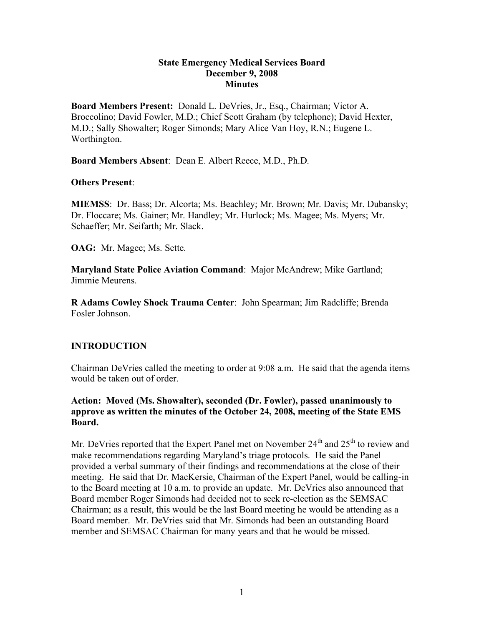#### **State Emergency Medical Services Board December 9, 2008 Minutes**

**Board Members Present:** Donald L. DeVries, Jr., Esq., Chairman; Victor A. Broccolino; David Fowler, M.D.; Chief Scott Graham (by telephone); David Hexter, M.D.; Sally Showalter; Roger Simonds; Mary Alice Van Hoy, R.N.; Eugene L. Worthington.

**Board Members Absent**: Dean E. Albert Reece, M.D., Ph.D.

### **Others Present**:

**MIEMSS**: Dr. Bass; Dr. Alcorta; Ms. Beachley; Mr. Brown; Mr. Davis; Mr. Dubansky; Dr. Floccare; Ms. Gainer; Mr. Handley; Mr. Hurlock; Ms. Magee; Ms. Myers; Mr. Schaeffer; Mr. Seifarth; Mr. Slack.

**OAG:** Mr. Magee; Ms. Sette.

**Maryland State Police Aviation Command**: Major McAndrew; Mike Gartland; Jimmie Meurens.

**R Adams Cowley Shock Trauma Center**: John Spearman; Jim Radcliffe; Brenda Fosler Johnson.

## **INTRODUCTION**

Chairman DeVries called the meeting to order at 9:08 a.m. He said that the agenda items would be taken out of order.

### **Action: Moved (Ms. Showalter), seconded (Dr. Fowler), passed unanimously to approve as written the minutes of the October 24, 2008, meeting of the State EMS Board.**

Mr. DeVries reported that the Expert Panel met on November  $24<sup>th</sup>$  and  $25<sup>th</sup>$  to review and make recommendations regarding Maryland's triage protocols. He said the Panel provided a verbal summary of their findings and recommendations at the close of their meeting. He said that Dr. MacKersie, Chairman of the Expert Panel, would be calling-in to the Board meeting at 10 a.m. to provide an update. Mr. DeVries also announced that Board member Roger Simonds had decided not to seek re-election as the SEMSAC Chairman; as a result, this would be the last Board meeting he would be attending as a Board member. Mr. DeVries said that Mr. Simonds had been an outstanding Board member and SEMSAC Chairman for many years and that he would be missed.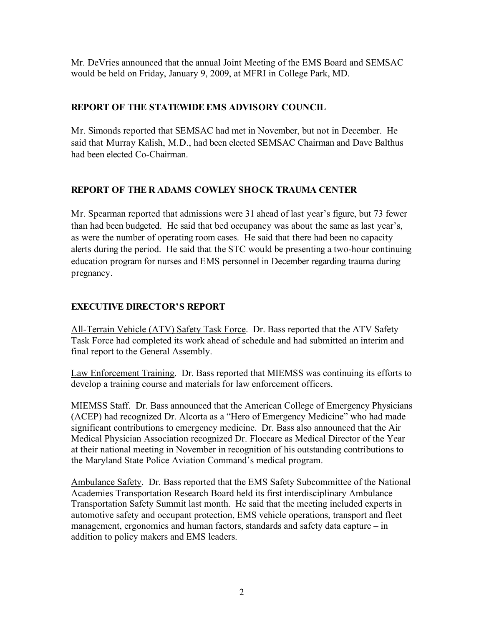Mr. DeVries announced that the annual Joint Meeting of the EMS Board and SEMSAC would be held on Friday, January 9, 2009, at MFRI in College Park, MD.

# **REPORT OF THE STATEWIDE EMS ADVISORY COUNCIL**

Mr. Simonds reported that SEMSAC had met in November, but not in December. He said that Murray Kalish, M.D., had been elected SEMSAC Chairman and Dave Balthus had been elected Co-Chairman.

# **REPORT OF THE R ADAMS COWLEY SHOCK TRAUMA CENTER**

Mr. Spearman reported that admissions were 31 ahead of last year's figure, but 73 fewer than had been budgeted. He said that bed occupancy was about the same as last year's, as were the number of operating room cases. He said that there had been no capacity alerts during the period. He said that the STC would be presenting a two-hour continuing education program for nurses and EMS personnel in December regarding trauma during pregnancy.

# **EXECUTIVE DIRECTOR'S REPORT**

All-Terrain Vehicle (ATV) Safety Task Force. Dr. Bass reported that the ATV Safety Task Force had completed its work ahead of schedule and had submitted an interim and final report to the General Assembly.

Law Enforcement Training. Dr. Bass reported that MIEMSS was continuing its efforts to develop a training course and materials for law enforcement officers.

MIEMSS Staff. Dr. Bass announced that the American College of Emergency Physicians (ACEP) had recognized Dr. Alcorta as a "Hero of Emergency Medicine" who had made significant contributions to emergency medicine. Dr. Bass also announced that the Air Medical Physician Association recognized Dr. Floccare as Medical Director of the Year at their national meeting in November in recognition of his outstanding contributions to the Maryland State Police Aviation Command's medical program.

Ambulance Safety. Dr. Bass reported that the EMS Safety Subcommittee of the National Academies Transportation Research Board held its first interdisciplinary Ambulance Transportation Safety Summit last month. He said that the meeting included experts in automotive safety and occupant protection, EMS vehicle operations, transport and fleet management, ergonomics and human factors, standards and safety data capture – in addition to policy makers and EMS leaders.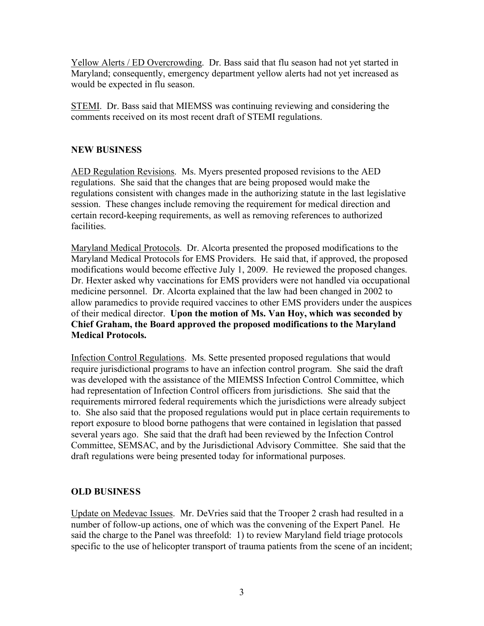Yellow Alerts / ED Overcrowding. Dr. Bass said that flu season had not yet started in Maryland; consequently, emergency department yellow alerts had not yet increased as would be expected in flu season.

STEMI. Dr. Bass said that MIEMSS was continuing reviewing and considering the comments received on its most recent draft of STEMI regulations.

## **NEW BUSINESS**

AED Regulation Revisions. Ms. Myers presented proposed revisions to the AED regulations. She said that the changes that are being proposed would make the regulations consistent with changes made in the authorizing statute in the last legislative session. These changes include removing the requirement for medical direction and certain record-keeping requirements, as well as removing references to authorized facilities.

Maryland Medical Protocols. Dr. Alcorta presented the proposed modifications to the Maryland Medical Protocols for EMS Providers. He said that, if approved, the proposed modifications would become effective July 1, 2009. He reviewed the proposed changes. Dr. Hexter asked why vaccinations for EMS providers were not handled via occupational medicine personnel. Dr. Alcorta explained that the law had been changed in 2002 to allow paramedics to provide required vaccines to other EMS providers under the auspices of their medical director. **Upon the motion of Ms. Van Hoy, which was seconded by Chief Graham, the Board approved the proposed modifications to the Maryland Medical Protocols.**

Infection Control Regulations. Ms. Sette presented proposed regulations that would require jurisdictional programs to have an infection control program. She said the draft was developed with the assistance of the MIEMSS Infection Control Committee, which had representation of Infection Control officers from jurisdictions. She said that the requirements mirrored federal requirements which the jurisdictions were already subject to. She also said that the proposed regulations would put in place certain requirements to report exposure to blood borne pathogens that were contained in legislation that passed several years ago. She said that the draft had been reviewed by the Infection Control Committee, SEMSAC, and by the Jurisdictional Advisory Committee. She said that the draft regulations were being presented today for informational purposes.

# **OLD BUSINESS**

Update on Medevac Issues. Mr. DeVries said that the Trooper 2 crash had resulted in a number of follow-up actions, one of which was the convening of the Expert Panel. He said the charge to the Panel was threefold: 1) to review Maryland field triage protocols specific to the use of helicopter transport of trauma patients from the scene of an incident;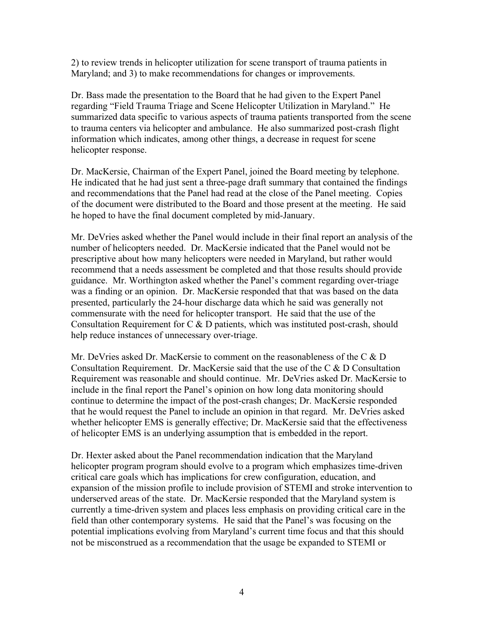2) to review trends in helicopter utilization for scene transport of trauma patients in Maryland; and 3) to make recommendations for changes or improvements.

Dr. Bass made the presentation to the Board that he had given to the Expert Panel regarding "Field Trauma Triage and Scene Helicopter Utilization in Maryland." He summarized data specific to various aspects of trauma patients transported from the scene to trauma centers via helicopter and ambulance. He also summarized post-crash flight information which indicates, among other things, a decrease in request for scene helicopter response.

Dr. MacKersie, Chairman of the Expert Panel, joined the Board meeting by telephone. He indicated that he had just sent a three-page draft summary that contained the findings and recommendations that the Panel had read at the close of the Panel meeting. Copies of the document were distributed to the Board and those present at the meeting. He said he hoped to have the final document completed by mid-January.

Mr. DeVries asked whether the Panel would include in their final report an analysis of the number of helicopters needed. Dr. MacKersie indicated that the Panel would not be prescriptive about how many helicopters were needed in Maryland, but rather would recommend that a needs assessment be completed and that those results should provide guidance. Mr. Worthington asked whether the Panel's comment regarding over-triage was a finding or an opinion. Dr. MacKersie responded that that was based on the data presented, particularly the 24-hour discharge data which he said was generally not commensurate with the need for helicopter transport. He said that the use of the Consultation Requirement for C & D patients, which was instituted post-crash, should help reduce instances of unnecessary over-triage.

Mr. DeVries asked Dr. MacKersie to comment on the reasonableness of the C  $&D$ Consultation Requirement. Dr. MacKersie said that the use of the C & D Consultation Requirement was reasonable and should continue. Mr. DeVries asked Dr. MacKersie to include in the final report the Panel's opinion on how long data monitoring should continue to determine the impact of the post-crash changes; Dr. MacKersie responded that he would request the Panel to include an opinion in that regard. Mr. DeVries asked whether helicopter EMS is generally effective; Dr. MacKersie said that the effectiveness of helicopter EMS is an underlying assumption that is embedded in the report.

Dr. Hexter asked about the Panel recommendation indication that the Maryland helicopter program program should evolve to a program which emphasizes time-driven critical care goals which has implications for crew configuration, education, and expansion of the mission profile to include provision of STEMI and stroke intervention to underserved areas of the state. Dr. MacKersie responded that the Maryland system is currently a time-driven system and places less emphasis on providing critical care in the field than other contemporary systems. He said that the Panel's was focusing on the potential implications evolving from Maryland's current time focus and that this should not be misconstrued as a recommendation that the usage be expanded to STEMI or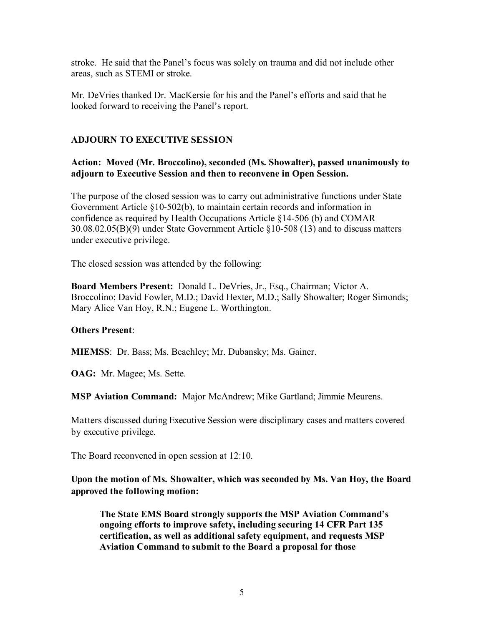stroke. He said that the Panel's focus was solely on trauma and did not include other areas, such as STEMI or stroke.

Mr. DeVries thanked Dr. MacKersie for his and the Panel's efforts and said that he looked forward to receiving the Panel's report.

## **ADJOURN TO EXECUTIVE SESSION**

## **Action: Moved (Mr. Broccolino), seconded (Ms. Showalter), passed unanimously to adjourn to Executive Session and then to reconvene in Open Session.**

The purpose of the closed session was to carry out administrative functions under State Government Article §10-502(b), to maintain certain records and information in confidence as required by Health Occupations Article §14-506 (b) and COMAR 30.08.02.05(B)(9) under State Government Article §10-508 (13) and to discuss matters under executive privilege.

The closed session was attended by the following:

**Board Members Present:** Donald L. DeVries, Jr., Esq., Chairman; Victor A. Broccolino; David Fowler, M.D.; David Hexter, M.D.; Sally Showalter; Roger Simonds; Mary Alice Van Hoy, R.N.; Eugene L. Worthington.

## **Others Present**:

**MIEMSS**: Dr. Bass; Ms. Beachley; Mr. Dubansky; Ms. Gainer.

**OAG:** Mr. Magee; Ms. Sette.

**MSP Aviation Command:** Major McAndrew; Mike Gartland; Jimmie Meurens.

Matters discussed during Executive Session were disciplinary cases and matters covered by executive privilege.

The Board reconvened in open session at 12:10.

## **Upon the motion of Ms. Showalter, which was seconded by Ms. Van Hoy, the Board approved the following motion:**

**The State EMS Board strongly supports the MSP Aviation Command's ongoing efforts to improve safety, including securing 14 CFR Part 135 certification, as well as additional safety equipment, and requests MSP Aviation Command to submit to the Board a proposal for those**